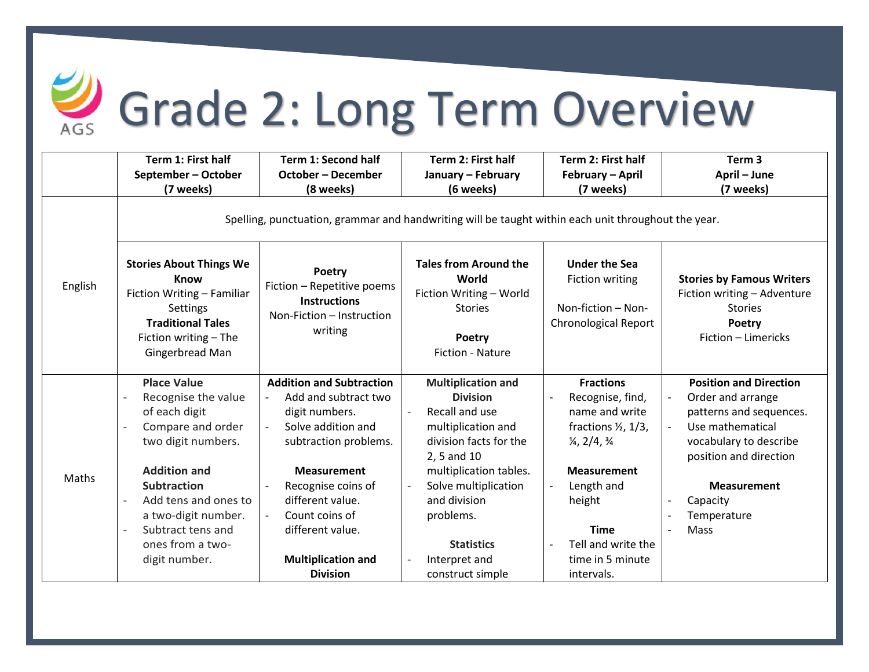

## Grade 2: Long Term Overview

|         | Term 1: First half                                                                                                                                                                                                                                                                                                  | Term 1: Second half                                                                                                                                                                                                                                                                                       | Term 2: First half                                                                                                                                                                                                                                 | Term 2: First half                                                                                                                                                                                                                                                          | Term <sub>3</sub>                                                                                                                                                                                                                                                      |  |  |  |
|---------|---------------------------------------------------------------------------------------------------------------------------------------------------------------------------------------------------------------------------------------------------------------------------------------------------------------------|-----------------------------------------------------------------------------------------------------------------------------------------------------------------------------------------------------------------------------------------------------------------------------------------------------------|----------------------------------------------------------------------------------------------------------------------------------------------------------------------------------------------------------------------------------------------------|-----------------------------------------------------------------------------------------------------------------------------------------------------------------------------------------------------------------------------------------------------------------------------|------------------------------------------------------------------------------------------------------------------------------------------------------------------------------------------------------------------------------------------------------------------------|--|--|--|
|         | September - October                                                                                                                                                                                                                                                                                                 | <b>October - December</b>                                                                                                                                                                                                                                                                                 | January - February                                                                                                                                                                                                                                 | February - April                                                                                                                                                                                                                                                            | April - June                                                                                                                                                                                                                                                           |  |  |  |
|         | (7 weeks)                                                                                                                                                                                                                                                                                                           | (8 weeks)                                                                                                                                                                                                                                                                                                 | (6 weeks)                                                                                                                                                                                                                                          | (7 weeks)                                                                                                                                                                                                                                                                   | (7 weeks)                                                                                                                                                                                                                                                              |  |  |  |
|         | Spelling, punctuation, grammar and handwriting will be taught within each unit throughout the year.                                                                                                                                                                                                                 |                                                                                                                                                                                                                                                                                                           |                                                                                                                                                                                                                                                    |                                                                                                                                                                                                                                                                             |                                                                                                                                                                                                                                                                        |  |  |  |
| English | <b>Stories About Things We</b><br><b>Know</b><br>Fiction Writing - Familiar<br><b>Settings</b><br><b>Traditional Tales</b><br>Fiction writing - The<br>Gingerbread Man                                                                                                                                              | Poetry<br>Fiction - Repetitive poems<br><b>Instructions</b><br>Non-Fiction - Instruction<br>writing                                                                                                                                                                                                       | <b>Tales from Around the</b><br>World<br>Fiction Writing - World<br><b>Stories</b><br>Poetry<br><b>Fiction - Nature</b>                                                                                                                            | <b>Under the Sea</b><br><b>Fiction writing</b><br>Non-fiction - Non-<br><b>Chronological Report</b>                                                                                                                                                                         | <b>Stories by Famous Writers</b><br>Fiction writing - Adventure<br><b>Stories</b><br>Poetry<br>Fiction - Limericks                                                                                                                                                     |  |  |  |
| Maths   | <b>Place Value</b><br>Recognise the value<br>of each digit<br>Compare and order<br>two digit numbers.<br><b>Addition and</b><br><b>Subtraction</b><br>Add tens and ones to<br>$\overline{\phantom{0}}$<br>a two-digit number.<br>Subtract tens and<br>$\overline{\phantom{0}}$<br>ones from a two-<br>digit number. | <b>Addition and Subtraction</b><br>Add and subtract two<br>$\overline{\phantom{a}}$<br>digit numbers.<br>Solve addition and<br>$\blacksquare$<br>subtraction problems.<br><b>Measurement</b><br>Recognise coins of<br>different value.<br>Count coins of<br>different value.<br><b>Multiplication and</b> | <b>Multiplication and</b><br><b>Division</b><br>Recall and use<br>multiplication and<br>division facts for the<br>2, 5 and 10<br>multiplication tables.<br>Solve multiplication<br>and division<br>problems.<br><b>Statistics</b><br>Interpret and | <b>Fractions</b><br>Recognise, find,<br>$\overline{\phantom{a}}$<br>name and write<br>fractions $\frac{1}{2}$ , 1/3,<br>$\frac{1}{4}$ , 2/4, $\frac{3}{4}$<br><b>Measurement</b><br>Length and<br>height<br><b>Time</b><br>Tell and write the<br>$\sim$<br>time in 5 minute | <b>Position and Direction</b><br>Order and arrange<br>$\overline{\phantom{a}}$<br>patterns and sequences.<br>Use mathematical<br>vocabulary to describe<br>position and direction<br><b>Measurement</b><br>Capacity<br>$\overline{\phantom{0}}$<br>Temperature<br>Mass |  |  |  |
|         |                                                                                                                                                                                                                                                                                                                     | <b>Division</b>                                                                                                                                                                                                                                                                                           | construct simple                                                                                                                                                                                                                                   | intervals.                                                                                                                                                                                                                                                                  |                                                                                                                                                                                                                                                                        |  |  |  |